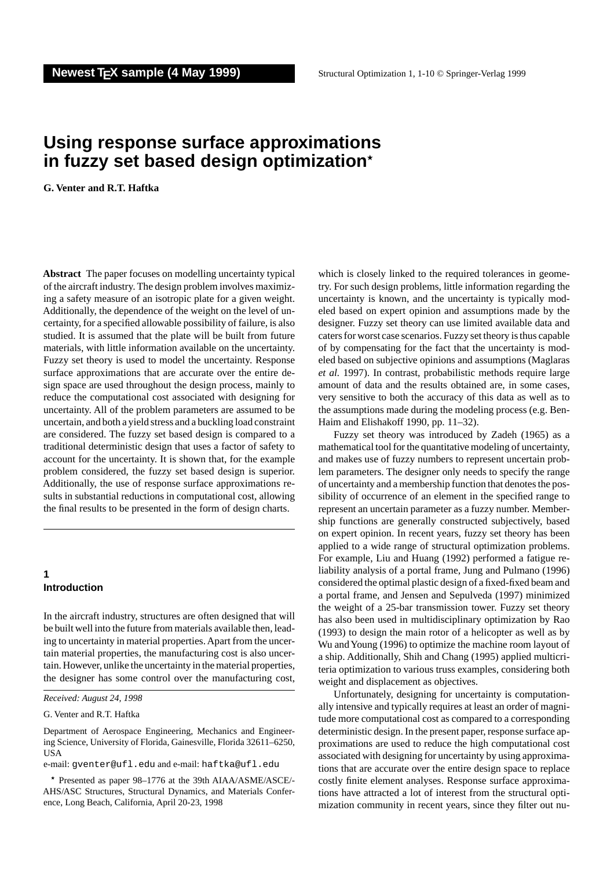# **Using response surface approximations in fuzzy set based design optimization**?

**G. Venter and R.T. Haftka**

**Abstract** The paper focuses on modelling uncertainty typical of the aircraft industry. The design problem involves maximizing a safety measure of an isotropic plate for a given weight. Additionally, the dependence of the weight on the level of uncertainty, for a specified allowable possibility of failure, is also studied. It is assumed that the plate will be built from future materials, with little information available on the uncertainty. Fuzzy set theory is used to model the uncertainty. Response surface approximations that are accurate over the entire design space are used throughout the design process, mainly to reduce the computational cost associated with designing for uncertainty. All of the problem parameters are assumed to be uncertain, and both a yield stress and a buckling load constraint are considered. The fuzzy set based design is compared to a traditional deterministic design that uses a factor of safety to account for the uncertainty. It is shown that, for the example problem considered, the fuzzy set based design is superior. Additionally, the use of response surface approximations results in substantial reductions in computational cost, allowing the final results to be presented in the form of design charts.

## **1 Introduction**

In the aircraft industry, structures are often designed that will be built well into the future from materials available then, leading to uncertainty in material properties. Apart from the uncertain material properties, the manufacturing cost is also uncertain. However, unlike the uncertainty in the material properties, the designer has some control over the manufacturing cost,

G. Venter and R.T. Haftka

e-mail: gventer@ufl.edu and e-mail: haftka@ufl.edu

? Presented as paper 98–1776 at the 39th AIAA/ASME/ASCE/- AHS/ASC Structures, Structural Dynamics, and Materials Conference, Long Beach, California, April 20-23, 1998

which is closely linked to the required tolerances in geometry. For such design problems, little information regarding the uncertainty is known, and the uncertainty is typically modeled based on expert opinion and assumptions made by the designer. Fuzzy set theory can use limited available data and caters for worst case scenarios. Fuzzy set theory is thus capable of by compensating for the fact that the uncertainty is modeled based on subjective opinions and assumptions (Maglaras *et al.* 1997). In contrast, probabilistic methods require large amount of data and the results obtained are, in some cases, very sensitive to both the accuracy of this data as well as to the assumptions made during the modeling process (e.g. Ben-Haim and Elishakoff 1990, pp. 11–32).

Fuzzy set theory was introduced by Zadeh (1965) as a mathematical tool for the quantitative modeling of uncertainty, and makes use of fuzzy numbers to represent uncertain problem parameters. The designer only needs to specify the range of uncertainty and a membership function that denotes the possibility of occurrence of an element in the specified range to represent an uncertain parameter as a fuzzy number. Membership functions are generally constructed subjectively, based on expert opinion. In recent years, fuzzy set theory has been applied to a wide range of structural optimization problems. For example, Liu and Huang (1992) performed a fatigue reliability analysis of a portal frame, Jung and Pulmano (1996) considered the optimal plastic design of a fixed-fixed beam and a portal frame, and Jensen and Sepulveda (1997) minimized the weight of a 25-bar transmission tower. Fuzzy set theory has also been used in multidisciplinary optimization by Rao (1993) to design the main rotor of a helicopter as well as by Wu andYoung (1996) to optimize the machine room layout of a ship. Additionally, Shih and Chang (1995) applied multicriteria optimization to various truss examples, considering both weight and displacement as objectives.

Unfortunately, designing for uncertainty is computationally intensive and typically requires at least an order of magnitude more computational cost as compared to a corresponding deterministic design. In the present paper, response surface approximations are used to reduce the high computational cost associated with designing for uncertainty by using approximations that are accurate over the entire design space to replace costly finite element analyses. Response surface approximations have attracted a lot of interest from the structural optimization community in recent years, since they filter out nu-

*Received: August 24, 1998*

Department of Aerospace Engineering, Mechanics and Engineering Science, University of Florida, Gainesville, Florida 32611–6250, USA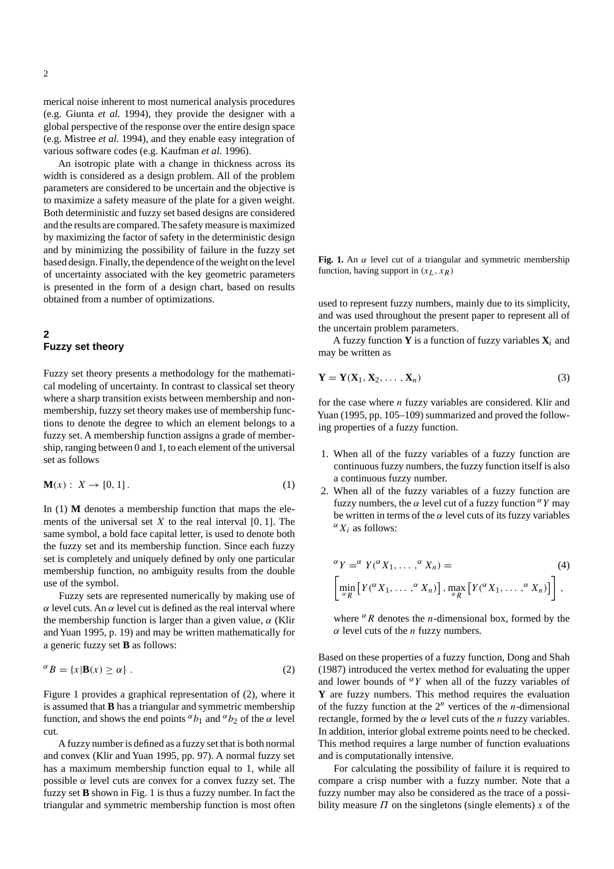merical noise inherent to most numerical analysis procedures (e.g. Giunta *et al.* 1994), they provide the designer with a global perspective of the response over the entire design space (e.g. Mistree *et al.* 1994), and they enable easy integration of various software codes (e.g. Kaufman *et al.* 1996).

An isotropic plate with a change in thickness across its width is considered as a design problem. All of the problem parameters are considered to be uncertain and the objective is to maximize a safety measure of the plate for a given weight. Both deterministic and fuzzy set based designs are considered and the results are compared. The safety measure is maximized by maximizing the factor of safety in the deterministic design and by minimizing the possibility of failure in the fuzzy set based design. Finally, the dependence of the weight on the level of uncertainty associated with the key geometric parameters is presented in the form of a design chart, based on results obtained from a number of optimizations.

## **2 Fuzzy set theory**

Fuzzy set theory presents a methodology for the mathematical modeling of uncertainty. In contrast to classical set theory where a sharp transition exists between membership and nonmembership, fuzzy set theory makes use of membership functions to denote the degree to which an element belongs to a fuzzy set. A membership function assigns a grade of membership, ranging between 0 and 1, to each element of the universal set as follows

$$
\mathbf{M}(x): X \to [0, 1]. \tag{1}
$$

In (1) **M** denotes a membership function that maps the elements of the universal set  $X$  to the real interval  $[0, 1]$ . The same symbol, a bold face capital letter, is used to denote both the fuzzy set and its membership function. Since each fuzzy set is completely and uniquely defined by only one particular membership function, no ambiguity results from the double use of the symbol.

Fuzzy sets are represented numerically by making use of  $\alpha$  level cuts. An  $\alpha$  level cut is defined as the real interval where the membership function is larger than a given value,  $\alpha$  (Klir and Yuan 1995, p. 19) and may be written mathematically for a generic fuzzy set **B** as follows:

$$
{}^{\alpha}B = \{x | \mathbf{B}(x) \ge \alpha\} . \tag{2}
$$

Figure 1 provides a graphical representation of (2), where it is assumed that **B** has a triangular and symmetric membership function, and shows the end points  $\alpha b_1$  and  $\alpha b_2$  of the  $\alpha$  level cut.

A fuzzy number is defined as a fuzzy set that is both normal and convex (Klir and Yuan 1995, pp. 97). A normal fuzzy set has a maximum membership function equal to 1, while all possible  $\alpha$  level cuts are convex for a convex fuzzy set. The fuzzy set **B** shown in Fig. 1 is thus a fuzzy number. In fact the triangular and symmetric membership function is most often Fig. 1. An  $\alpha$  level cut of a triangular and symmetric membership function, having support in  $(x_L, x_R)$ 

used to represent fuzzy numbers, mainly due to its simplicity, and was used throughout the present paper to represent all of the uncertain problem parameters.

A fuzzy function **Y** is a function of fuzzy variables  $X_i$  and may be written as

$$
\mathbf{Y} = \mathbf{Y}(\mathbf{X}_1, \mathbf{X}_2, \dots, \mathbf{X}_n) \tag{3}
$$

for the case where  $n$  fuzzy variables are considered. Klir and Yuan (1995, pp. 105–109) summarized and proved the following properties of a fuzzy function.

- 1. When all of the fuzzy variables of a fuzzy function are continuous fuzzy numbers, the fuzzy function itself is also a continuous fuzzy number.
- 2. When all of the fuzzy variables of a fuzzy function are fuzzy numbers, the  $\alpha$  level cut of a fuzzy function  $\alpha Y$  may be written in terms of the  $\alpha$  level cuts of its fuzzy variables  $\alpha X_i$  as follows:

$$
\alpha Y = \alpha Y(\alpha X_1, \dots, \alpha X_n) =
$$
\n
$$
\left[ \min_{\alpha R} \left[ Y(\alpha X_1, \dots, \alpha X_n) \right], \max_{\alpha R} \left[ Y(\alpha X_1, \dots, \alpha X_n) \right] \right],
$$
\n(4)

where  $\alpha$ R denotes the *n*-dimensional box, formed by the  $\alpha$  level cuts of the *n* fuzzy numbers.

Based on these properties of a fuzzy function, Dong and Shah (1987) introduced the vertex method for evaluating the upper and lower bounds of  $\alpha Y$  when all of the fuzzy variables of **Y** are fuzzy numbers. This method requires the evaluation of the fuzzy function at the  $2^n$  vertices of the *n*-dimensional rectangle, formed by the  $\alpha$  level cuts of the *n* fuzzy variables. In addition, interior global extreme points need to be checked. This method requires a large number of function evaluations and is computationally intensive.

For calculating the possibility of failure it is required to compare a crisp number with a fuzzy number. Note that a fuzzy number may also be considered as the trace of a possibility measure  $\Pi$  on the singletons (single elements) x of the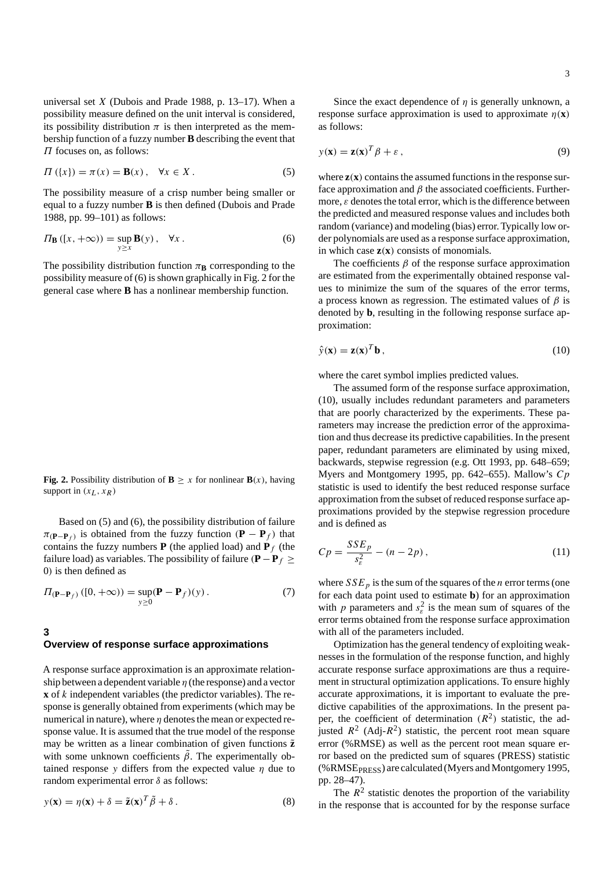universal set  $X$  (Dubois and Prade 1988, p. 13–17). When a possibility measure defined on the unit interval is considered, its possibility distribution  $\pi$  is then interpreted as the membership function of a fuzzy number **B** describing the event that  $\Pi$  focuses on, as follows:

$$
\Pi\left(\{x\}\right) = \pi(x) = \mathbf{B}(x), \quad \forall x \in X. \tag{5}
$$

The possibility measure of a crisp number being smaller or equal to a fuzzy number **B** is then defined (Dubois and Prade 1988, pp. 99–101) as follows:

$$
\Pi_{\mathbf{B}}\left(\left[x, +\infty\right)\right) = \sup_{y \ge x} \mathbf{B}(y), \quad \forall x \,.
$$
 (6)

The possibility distribution function  $\pi_{\mathbf{B}}$  corresponding to the possibility measure of (6) is shown graphically in Fig. 2 for the general case where **B** has a nonlinear membership function.

**Fig. 2.** Possibility distribution of **B**  $\geq x$  for nonlinear **B**(x), having support in  $(x_L, x_R)$ 

Based on (5) and (6), the possibility distribution of failure  $\pi(\mathbf{P}-\mathbf{P}_f)$  is obtained from the fuzzy function (**P** − **P**<sub>f</sub>) that contains the fuzzy numbers  $P$  (the applied load) and  $P_f$  (the failure load) as variables. The possibility of failure (**)**  $\ge$ 0) is then defined as

$$
\Pi(\mathbf{P} - \mathbf{P}_f) \left( [0, +\infty) \right) = \sup_{y \ge 0} (\mathbf{P} - \mathbf{P}_f)(y).
$$
\n(7)

#### **3**

# **Overview of response surface approximations**

A response surface approximation is an approximate relationship between a dependent variable  $\eta$  (the response) and a vector **x** of k independent variables (the predictor variables). The response is generally obtained from experiments (which may be numerical in nature), where  $\eta$  denotes the mean or expected response value. It is assumed that the true model of the response may be written as a linear combination of given functions  $\tilde{z}$ with some unknown coefficients  $\tilde{\beta}$ . The experimentally obtained response y differs from the expected value  $\eta$  due to random experimental error δ as follows:

$$
y(\mathbf{x}) = \eta(\mathbf{x}) + \delta = \tilde{\mathbf{z}}(\mathbf{x})^T \tilde{\beta} + \delta. \tag{8}
$$

Since the exact dependence of  $\eta$  is generally unknown, a response surface approximation is used to approximate  $\eta(\mathbf{x})$ as follows:

$$
y(\mathbf{x}) = \mathbf{z}(\mathbf{x})^T \boldsymbol{\beta} + \boldsymbol{\varepsilon} \,, \tag{9}
$$

where  $z(x)$  contains the assumed functions in the response surface approximation and  $\beta$  the associated coefficients. Furthermore,  $\varepsilon$  denotes the total error, which is the difference between the predicted and measured response values and includes both random (variance) and modeling (bias) error. Typically low order polynomials are used as a response surface approximation, in which case **z**(**x**) consists of monomials.

The coefficients  $\beta$  of the response surface approximation are estimated from the experimentally obtained response values to minimize the sum of the squares of the error terms, a process known as regression. The estimated values of  $\beta$  is denoted by **b**, resulting in the following response surface approximation:

$$
\hat{\mathbf{y}}(\mathbf{x}) = \mathbf{z}(\mathbf{x})^T \mathbf{b} \,, \tag{10}
$$

where the caret symbol implies predicted values.

The assumed form of the response surface approximation, (10), usually includes redundant parameters and parameters that are poorly characterized by the experiments. These parameters may increase the prediction error of the approximation and thus decrease its predictive capabilities. In the present paper, redundant parameters are eliminated by using mixed, backwards, stepwise regression (e.g. Ott 1993, pp. 648–659; Myers and Montgomery 1995, pp. 642–655). Mallow's  $Cp$ statistic is used to identify the best reduced response surface approximation from the subset of reduced response surface approximations provided by the stepwise regression procedure and is defined as

$$
C p = \frac{S S E_p}{s_{\varepsilon}^2} - (n - 2p),
$$
\n(11)

where  $SSE_p$  is the sum of the squares of the *n* error terms (one for each data point used to estimate **b**) for an approximation with p parameters and  $s_k^2$  is the mean sum of squares of the error terms obtained from the response surface approximation with all of the parameters included.

Optimization has the general tendency of exploiting weaknesses in the formulation of the response function, and highly accurate response surface approximations are thus a requirement in structural optimization applications. To ensure highly accurate approximations, it is important to evaluate the predictive capabilities of the approximations. In the present paper, the coefficient of determination  $(R^2)$  statistic, the adjusted  $R^2$  (Adj- $R^2$ ) statistic, the percent root mean square error (%RMSE) as well as the percent root mean square error based on the predicted sum of squares (PRESS) statistic (%RMSEPRESS) are calculated (Myers and Montgomery 1995, pp. 28–47).

The  $R<sup>2</sup>$  statistic denotes the proportion of the variability in the response that is accounted for by the response surface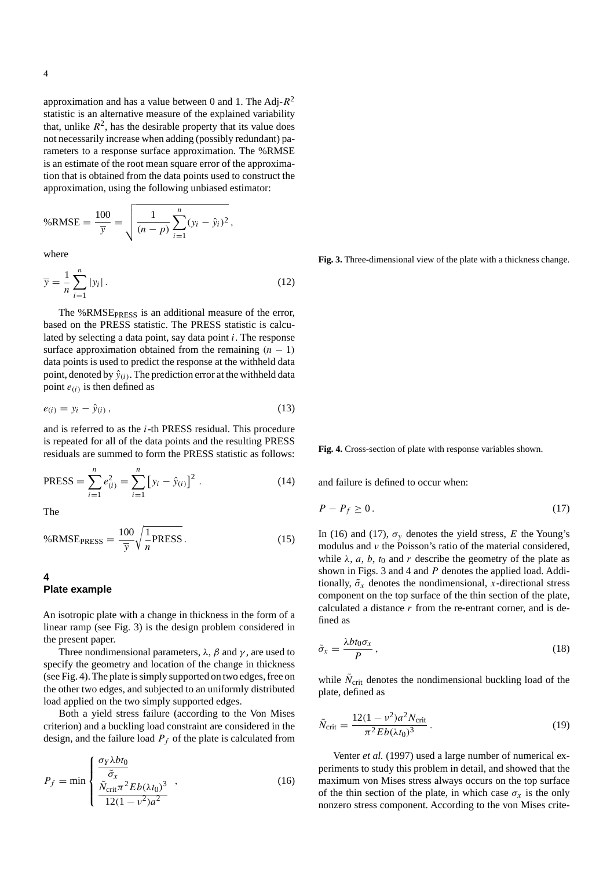approximation and has a value between 0 and 1. The Adj- $R^2$ statistic is an alternative measure of the explained variability that, unlike  $R^2$ , has the desirable property that its value does not necessarily increase when adding (possibly redundant) parameters to a response surface approximation. The %RMSE is an estimate of the root mean square error of the approximation that is obtained from the data points used to construct the approximation, using the following unbiased estimator:

$$
\%RMSE = \frac{100}{\overline{y}} = \sqrt{\frac{1}{(n-p)} \sum_{i=1}^{n} (y_i - \hat{y}_i)^2},
$$

where

$$
\overline{y} = \frac{1}{n} \sum_{i=1}^{n} |y_i| \,. \tag{12}
$$

The %RMSE<sub>PRESS</sub> is an additional measure of the error, based on the PRESS statistic. The PRESS statistic is calculated by selecting a data point, say data point  $i$ . The response surface approximation obtained from the remaining  $(n - 1)$ data points is used to predict the response at the withheld data point, denoted by  $\hat{y}_{(i)}$ . The prediction error at the withheld data point  $e(i)$  is then defined as

$$
e_{(i)} = y_i - \hat{y}_{(i)}\,,\tag{13}
$$

and is referred to as the i-th PRESS residual. This procedure is repeated for all of the data points and the resulting PRESS residuals are summed to form the PRESS statistic as follows:

$$
PRESS = \sum_{i=1}^{n} e_{(i)}^{2} = \sum_{i=1}^{n} [y_i - \hat{y}_{(i)}]^{2}.
$$
 (14)

The

$$
\%RMSE_{PRESS} = \frac{100}{\overline{y}} \sqrt{\frac{1}{n} PRESS}.
$$
 (15)

**4**

## **Plate example**

An isotropic plate with a change in thickness in the form of a linear ramp (see Fig. 3) is the design problem considered in the present paper.

Three nondimensional parameters,  $\lambda$ ,  $\beta$  and  $\gamma$ , are used to specify the geometry and location of the change in thickness (see Fig. 4). The plate is simply supported on two edges, free on the other two edges, and subjected to an uniformly distributed load applied on the two simply supported edges.

Both a yield stress failure (according to the Von Mises criterion) and a buckling load constraint are considered in the design, and the failure load  $P_f$  of the plate is calculated from

$$
P_f = \min \left\{ \frac{\frac{\sigma_Y \lambda bt_0}{\tilde{\sigma}_x}}{\frac{\tilde{N}_{\text{crit}} \pi^2 Eb(\lambda t_0)^3}{12(1 - v^2)a^2}} \right.\right.\tag{16}
$$

**Fig. 3.** Three-dimensional view of the plate with a thickness change.

**Fig. 4.** Cross-section of plate with response variables shown.

and failure is defined to occur when:

$$
P - P_f \ge 0. \tag{17}
$$

In (16) and (17),  $\sigma_v$  denotes the yield stress, E the Young's modulus and  $\nu$  the Poisson's ratio of the material considered, while  $\lambda$ , a, b, t<sub>0</sub> and r describe the geometry of the plate as shown in Figs. 3 and 4 and P denotes the applied load. Additionally,  $\tilde{\sigma}_x$  denotes the nondimensional, x-directional stress component on the top surface of the thin section of the plate, calculated a distance  $r$  from the re-entrant corner, and is defined as

$$
\tilde{\sigma}_x = \frac{\lambda b t_0 \sigma_x}{P} \,, \tag{18}
$$

while  $N<sub>crit</sub>$  denotes the nondimensional buckling load of the plate, defined as

$$
\tilde{N}_{\text{crit}} = \frac{12(1 - v^2)a^2 N_{\text{crit}}}{\pi^2 Eb(\lambda t_0)^3} \,. \tag{19}
$$

Venter *et al.* (1997) used a large number of numerical experiments to study this problem in detail, and showed that the maximum von Mises stress always occurs on the top surface of the thin section of the plate, in which case  $\sigma_x$  is the only nonzero stress component. According to the von Mises crite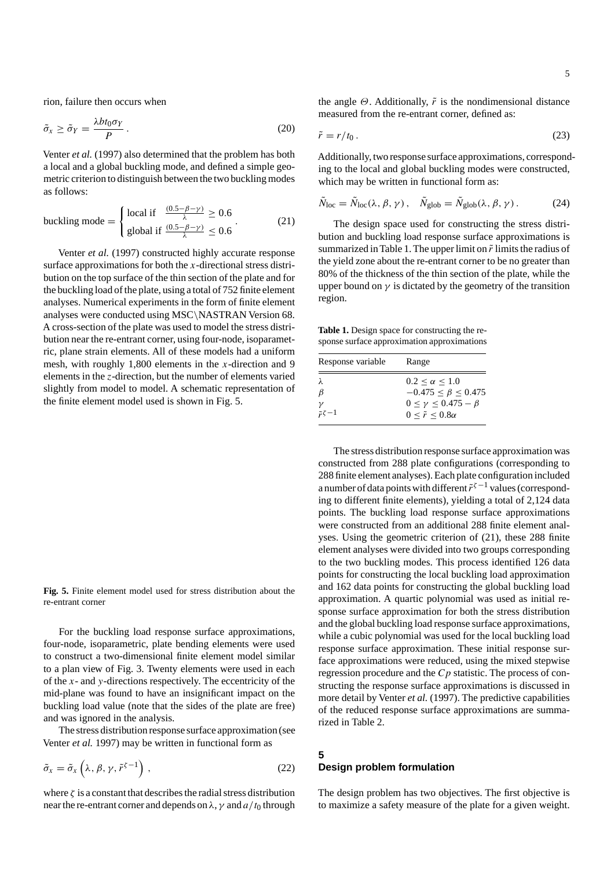rion, failure then occurs when

$$
\tilde{\sigma}_x \ge \tilde{\sigma}_Y = \frac{\lambda bt_0 \sigma_Y}{P} \,. \tag{20}
$$

Venter *et al.* (1997) also determined that the problem has both a local and a global buckling mode, and defined a simple geometric criterion to distinguish between the two buckling modes as follows:

buckling mode = 
$$
\begin{cases} \text{local if } \frac{(0.5 - \beta - \gamma)}{\lambda} \ge 0.6\\ \text{global if } \frac{(0.5 - \beta - \gamma)}{\lambda} \le 0.6 \end{cases}
$$
 (21)

Venter *et al.* (1997) constructed highly accurate response surface approximations for both the  $x$ -directional stress distribution on the top surface of the thin section of the plate and for the buckling load of the plate, using a total of 752 finite element analyses. Numerical experiments in the form of finite element analyses were conducted using MSC\NASTRAN Version 68. A cross-section of the plate was used to model the stress distribution near the re-entrant corner, using four-node, isoparametric, plane strain elements. All of these models had a uniform mesh, with roughly 1,800 elements in the  $x$ -direction and 9 elements in the z-direction, but the number of elements varied slightly from model to model. A schematic representation of the finite element model used is shown in Fig. 5.

**Fig. 5.** Finite element model used for stress distribution about the re-entrant corner

For the buckling load response surface approximations, four-node, isoparametric, plate bending elements were used to construct a two-dimensional finite element model similar to a plan view of Fig. 3. Twenty elements were used in each of the  $x$ - and  $y$ -directions respectively. The eccentricity of the mid-plane was found to have an insignificant impact on the buckling load value (note that the sides of the plate are free) and was ignored in the analysis.

The stress distribution response surface approximation (see Venter *et al.* 1997) may be written in functional form as

$$
\tilde{\sigma}_x = \tilde{\sigma}_x \left( \lambda, \beta, \gamma, \tilde{r}^{\zeta - 1} \right), \tag{22}
$$

where  $\zeta$  is a constant that describes the radial stress distribution near the re-entrant corner and depends on  $\lambda$ ,  $\gamma$  and  $a/t_0$  through the angle  $\Theta$ . Additionally,  $\tilde{r}$  is the nondimensional distance measured from the re-entrant corner, defined as:

$$
\tilde{r} = r/t_0. \tag{23}
$$

Additionally, two response surface approximations, corresponding to the local and global buckling modes were constructed, which may be written in functional form as:

$$
\tilde{N}_{\text{loc}} = \tilde{N}_{\text{loc}}(\lambda, \beta, \gamma), \quad \tilde{N}_{\text{glob}} = \tilde{N}_{\text{glob}}(\lambda, \beta, \gamma).
$$
 (24)

The design space used for constructing the stress distribution and buckling load response surface approximations is summarized in Table 1. The upper limit on  $\tilde{r}$  limits the radius of the yield zone about the re-entrant corner to be no greater than 80% of the thickness of the thin section of the plate, while the upper bound on  $\gamma$  is dictated by the geometry of the transition region.

**Table 1.** Design space for constructing the response surface approximation approximations

| Response variable            | Range                                                                                                                           |
|------------------------------|---------------------------------------------------------------------------------------------------------------------------------|
| λ<br>β<br>$\tilde{r}\zeta-1$ | $0.2 < \alpha < 1.0$<br>$-0.475 \le \beta \le 0.475$<br>$0 \leq \gamma \leq 0.475 - \beta$<br>$0 \leq \tilde{r} \leq 0.8\alpha$ |

The stress distribution response surface approximation was constructed from 288 plate configurations (corresponding to 288 finite element analyses). Each plate configuration included a number of data points with different  $\tilde{r}^{\zeta-1}$  values (corresponding to different finite elements), yielding a total of 2,124 data points. The buckling load response surface approximations were constructed from an additional 288 finite element analyses. Using the geometric criterion of (21), these 288 finite element analyses were divided into two groups corresponding to the two buckling modes. This process identified 126 data points for constructing the local buckling load approximation and 162 data points for constructing the global buckling load approximation. A quartic polynomial was used as initial response surface approximation for both the stress distribution and the global buckling load response surface approximations, while a cubic polynomial was used for the local buckling load response surface approximation. These initial response surface approximations were reduced, using the mixed stepwise regression procedure and the  $C_p$  statistic. The process of constructing the response surface approximations is discussed in more detail by Venter *et al.* (1997). The predictive capabilities of the reduced response surface approximations are summarized in Table 2.

#### **5**

#### **Design problem formulation**

The design problem has two objectives. The first objective is to maximize a safety measure of the plate for a given weight.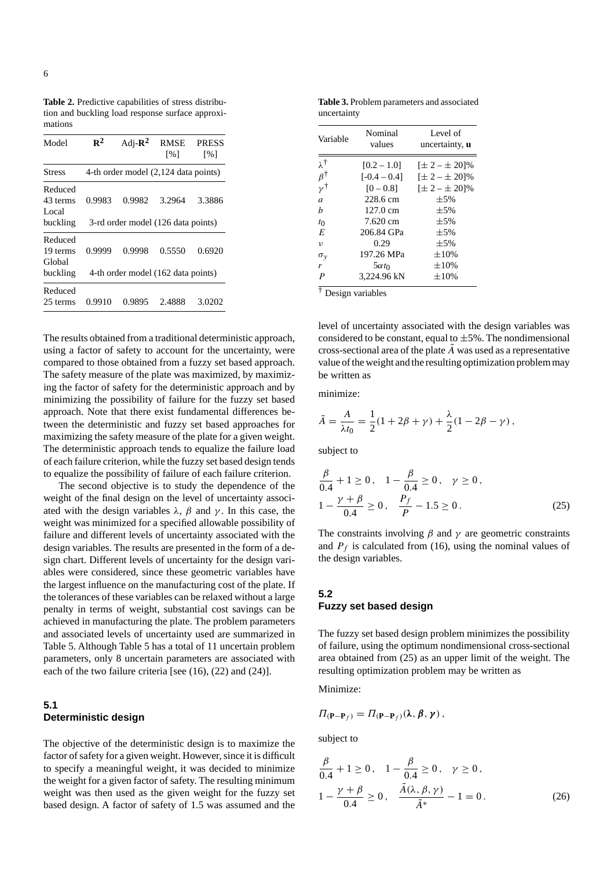**Table 2.** Predictive capabilities of stress distribution and buckling load response surface approximations

| Model                         | $\mathbf{R}^2$ | Adj- $\mathbb{R}^2$ | RMSE<br>$\lceil \sqrt{6} \rceil$     | <b>PRESS</b><br>$\lceil\% \rceil$ |
|-------------------------------|----------------|---------------------|--------------------------------------|-----------------------------------|
| Stress                        |                |                     | 4-th order model (2,124 data points) |                                   |
| Reduced<br>43 terms<br>Local. | 0.9983         | 0.9982              | 3.2964                               | 3.3886                            |
| buckling                      |                |                     | 3-rd order model (126 data points)   |                                   |
| Reduced<br>19 terms<br>Global | 0.9999         | 0.9998              | 0.5550                               | 0.6920                            |
| buckling                      |                |                     | 4-th order model (162 data points)   |                                   |
| Reduced<br>25 terms           | 0.9910         | 0.9895              | 2.4888                               | 3.0202                            |

The results obtained from a traditional deterministic approach, using a factor of safety to account for the uncertainty, were compared to those obtained from a fuzzy set based approach. The safety measure of the plate was maximized, by maximizing the factor of safety for the deterministic approach and by minimizing the possibility of failure for the fuzzy set based approach. Note that there exist fundamental differences between the deterministic and fuzzy set based approaches for maximizing the safety measure of the plate for a given weight. The deterministic approach tends to equalize the failure load of each failure criterion, while the fuzzy set based design tends to equalize the possibility of failure of each failure criterion.

The second objective is to study the dependence of the weight of the final design on the level of uncertainty associated with the design variables  $\lambda$ ,  $\beta$  and  $\gamma$ . In this case, the weight was minimized for a specified allowable possibility of failure and different levels of uncertainty associated with the design variables. The results are presented in the form of a design chart. Different levels of uncertainty for the design variables were considered, since these geometric variables have the largest influence on the manufacturing cost of the plate. If the tolerances of these variables can be relaxed without a large penalty in terms of weight, substantial cost savings can be achieved in manufacturing the plate. The problem parameters and associated levels of uncertainty used are summarized in Table 5. Although Table 5 has a total of 11 uncertain problem parameters, only 8 uncertain parameters are associated with each of the two failure criteria [see (16), (22) and (24)].

# **5.1 Deterministic design**

The objective of the deterministic design is to maximize the factor of safety for a given weight. However, since it is difficult to specify a meaningful weight, it was decided to minimize the weight for a given factor of safety. The resulting minimum weight was then used as the given weight for the fuzzy set based design. A factor of safety of 1.5 was assumed and the

**Table 3.** Problem parameters and associated uncertainty

| Variable              | Nominal<br>values | Level of<br>uncertainty, <b>u</b> |
|-----------------------|-------------------|-----------------------------------|
| λŤ                    | $[0.2 - 1.0]$     | $[\pm 2 - \pm 20]\%$              |
| $\beta^{\dagger}$     | $[-0.4 - 0.4]$    | $[\pm 2 - \pm 20]\%$              |
| ΄γ†                   | $[0 - 0.8]$       | $[\pm 2 - \pm 20]\%$              |
| $\overline{a}$        | 228.6 cm          | $\pm$ 5%                          |
| h                     | 127.0 cm          | $\pm$ 5%                          |
| $t_{0}$               | 7.620 cm          | $\pm$ 5%                          |
| E                     | 206.84 GPa        | $\pm$ 5%                          |
| $\upsilon$            | 0.29              | $\pm$ 5%                          |
| $\sigma_{v}$          | 197.26 MPa        | $\pm 10\%$                        |
| r                     | $5\alpha t_0$     | $\pm 10\%$                        |
| $\boldsymbol{P}$<br>᠇ | 3,224.96 kN       | $\pm 10\%$                        |

† Design variables

level of uncertainty associated with the design variables was considered to be constant, equal to  $\pm 5\%$ . The nondimensional cross-sectional area of the plate  $\ddot{A}$  was used as a representative value of the weight and the resulting optimization problem may be written as

minimize:

$$
\tilde{A} = \frac{A}{\lambda t_0} = \frac{1}{2}(1 + 2\beta + \gamma) + \frac{\lambda}{2}(1 - 2\beta - \gamma),
$$

subject to

$$
\frac{\beta}{0.4} + 1 \ge 0, \quad 1 - \frac{\beta}{0.4} \ge 0, \quad \gamma \ge 0,
$$
  

$$
1 - \frac{\gamma + \beta}{0.4} \ge 0, \quad \frac{P_f}{P} - 1.5 \ge 0.
$$
 (25)

The constraints involving  $\beta$  and  $\gamma$  are geometric constraints and  $P_f$  is calculated from (16), using the nominal values of the design variables.

#### **5.2 Fuzzy set based design**

The fuzzy set based design problem minimizes the possibility of failure, using the optimum nondimensional cross-sectional area obtained from (25) as an upper limit of the weight. The resulting optimization problem may be written as

Minimize:

$$
\Pi_{(\mathbf{P}-\mathbf{P}_f)} = \Pi_{(\mathbf{P}-\mathbf{P}_f)}(\lambda, \beta, \gamma),
$$

subject to

$$
\frac{\beta}{0.4} + 1 \ge 0, \quad 1 - \frac{\beta}{0.4} \ge 0, \quad \gamma \ge 0,
$$
  

$$
1 - \frac{\gamma + \beta}{0.4} \ge 0, \quad \frac{\tilde{A}(\lambda, \beta, \gamma)}{\tilde{A}^*} - 1 = 0.
$$
 (26)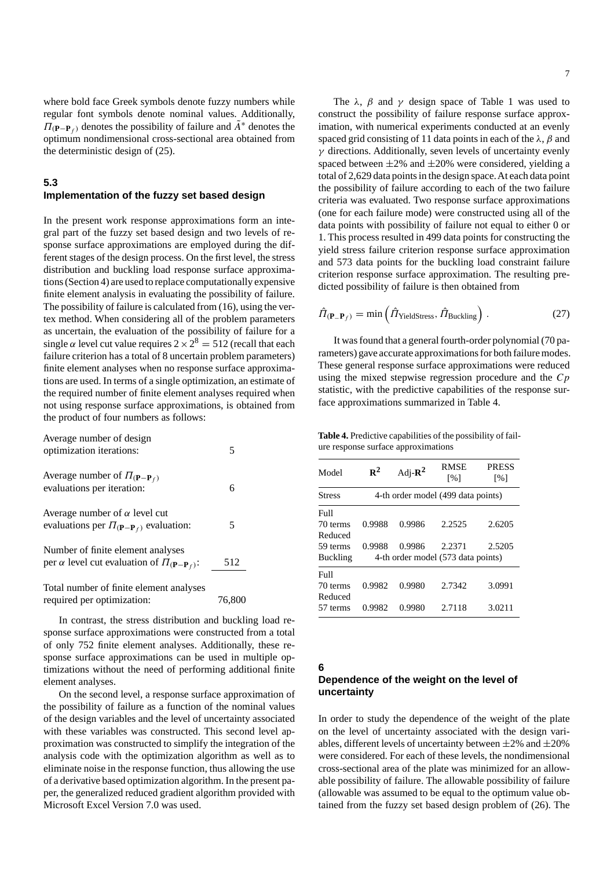where bold face Greek symbols denote fuzzy numbers while regular font symbols denote nominal values. Additionally,  $\Pi(\mathbf{P}-\mathbf{P}_f)$  denotes the possibility of failure and  $\tilde{A}^*$  denotes the optimum nondimensional cross-sectional area obtained from the deterministic design of (25).

#### **5.3**

### **Implementation of the fuzzy set based design**

In the present work response approximations form an integral part of the fuzzy set based design and two levels of response surface approximations are employed during the different stages of the design process. On the first level, the stress distribution and buckling load response surface approximations (Section 4) are used to replace computationally expensive finite element analysis in evaluating the possibility of failure. The possibility of failure is calculated from (16), using the vertex method. When considering all of the problem parameters as uncertain, the evaluation of the possibility of failure for a single  $\alpha$  level cut value requires  $2 \times 2^8 = 512$  (recall that each failure criterion has a total of 8 uncertain problem parameters) finite element analyses when no response surface approximations are used. In terms of a single optimization, an estimate of the required number of finite element analyses required when not using response surface approximations, is obtained from the product of four numbers as follows:

| Average number of design<br>optimization iterations:                                                  | 5      |
|-------------------------------------------------------------------------------------------------------|--------|
| Average number of $\Pi(\mathbf{P}-\mathbf{P}_f)$<br>evaluations per iteration:                        | 6      |
| Average number of $\alpha$ level cut<br>evaluations per $\Pi_{(\mathbf{P}-\mathbf{P}_f)}$ evaluation: | 5      |
| Number of finite element analyses<br>per $\alpha$ level cut evaluation of $\Pi_{(P-P_f)}$ :           | 512    |
| Total number of finite element analyses<br>required per optimization:                                 | 76.800 |

In contrast, the stress distribution and buckling load response surface approximations were constructed from a total of only 752 finite element analyses. Additionally, these response surface approximations can be used in multiple optimizations without the need of performing additional finite element analyses.

On the second level, a response surface approximation of the possibility of failure as a function of the nominal values of the design variables and the level of uncertainty associated with these variables was constructed. This second level approximation was constructed to simplify the integration of the analysis code with the optimization algorithm as well as to eliminate noise in the response function, thus allowing the use of a derivative based optimization algorithm. In the present paper, the generalized reduced gradient algorithm provided with Microsoft Excel Version 7.0 was used.

The  $\lambda$ ,  $\beta$  and  $\gamma$  design space of Table 1 was used to construct the possibility of failure response surface approximation, with numerical experiments conducted at an evenly spaced grid consisting of 11 data points in each of the  $\lambda$ ,  $\beta$  and  $\gamma$  directions. Additionally, seven levels of uncertainty evenly spaced between  $\pm 2\%$  and  $\pm 20\%$  were considered, yielding a total of 2,629 data points in the design space.At each data point the possibility of failure according to each of the two failure criteria was evaluated. Two response surface approximations (one for each failure mode) were constructed using all of the data points with possibility of failure not equal to either 0 or 1. This process resulted in 499 data points for constructing the yield stress failure criterion response surface approximation and 573 data points for the buckling load constraint failure criterion response surface approximation. The resulting predicted possibility of failure is then obtained from

$$
\hat{\Pi}_{(\mathbf{P}_-\mathbf{P}_f)} = \min\left(\hat{\Pi}_{\text{Yields} \text{tress}}, \hat{\Pi}_{\text{Buckling}}\right). \tag{27}
$$

It was found that a general fourth-order polynomial (70 parameters) gave accurate approximations for both failure modes. These general response surface approximations were reduced using the mixed stepwise regression procedure and the  $C_p$ statistic, with the predictive capabilities of the response surface approximations summarized in Table 4.

**Table 4.** Predictive capabilities of the possibility of failure response surface approximations

| $\mathbb{R}^2$ | Adj- $\mathbb{R}^2$ | <b>RMSE</b><br>$\lceil\% \rceil$ | <b>PRESS</b><br>$\lceil \% \rceil$                                       |
|----------------|---------------------|----------------------------------|--------------------------------------------------------------------------|
|                |                     |                                  |                                                                          |
|                |                     |                                  |                                                                          |
| 0.9988         | 0.9986              | 2.2525                           | 2.6205                                                                   |
|                |                     |                                  |                                                                          |
| 0.9988         | 0.9986              | 2.2371                           | 2.5205                                                                   |
|                |                     |                                  |                                                                          |
|                |                     |                                  |                                                                          |
| 0.9982         | 0.9980              | 2.7342                           | 3.0991                                                                   |
|                |                     |                                  |                                                                          |
| 0.9982         | 0.9980              | 2.7118                           | 3.0211                                                                   |
|                |                     |                                  | 4-th order model (499 data points)<br>4-th order model (573 data points) |

**6**

# **Dependence of the weight on the level of uncertainty**

In order to study the dependence of the weight of the plate on the level of uncertainty associated with the design variables, different levels of uncertainty between  $\pm 2\%$  and  $\pm 20\%$ were considered. For each of these levels, the nondimensional cross-sectional area of the plate was minimized for an allowable possibility of failure. The allowable possibility of failure (allowable was assumed to be equal to the optimum value obtained from the fuzzy set based design problem of (26). The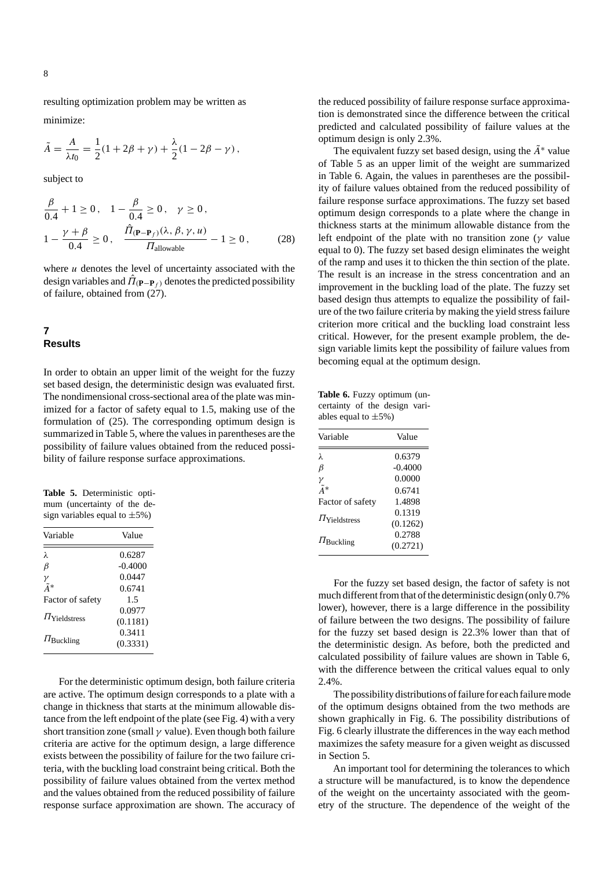resulting optimization problem may be written as minimize:

$$
\tilde{A} = \frac{A}{\lambda t_0} = \frac{1}{2}(1 + 2\beta + \gamma) + \frac{\lambda}{2}(1 - 2\beta - \gamma),
$$

subject to

$$
\frac{\beta}{0.4} + 1 \ge 0, \quad 1 - \frac{\beta}{0.4} \ge 0, \quad \gamma \ge 0,
$$
  

$$
1 - \frac{\gamma + \beta}{0.4} \ge 0, \quad \frac{\hat{H}_{(P-P_f)}(\lambda, \beta, \gamma, u)}{H_{\text{allowable}}} - 1 \ge 0,
$$
 (28)

where  $u$  denotes the level of uncertainty associated with the design variables and  $\hat{\Pi}_{(P-P_f)}$  denotes the predicted possibility of failure, obtained from  $(27)$ .

# **7 Results**

In order to obtain an upper limit of the weight for the fuzzy set based design, the deterministic design was evaluated first. The nondimensional cross-sectional area of the plate was minimized for a factor of safety equal to 1.5, making use of the formulation of (25). The corresponding optimum design is summarized in Table 5, where the values in parentheses are the possibility of failure values obtained from the reduced possibility of failure response surface approximations.

**Table 5.** Deterministic optimum (uncertainty of the design variables equal to  $\pm 5\%$ )

| Variable                     | Value     |
|------------------------------|-----------|
| λ                            | 0.6287    |
| $_{\beta}$                   | $-0.4000$ |
|                              | 0.0447    |
| $\frac{\gamma}{\tilde{A}^*}$ | 0.6741    |
| Factor of safety             | 15        |
|                              | 0.0977    |
| $\Pi$ Yieldstress            | (0.1181)  |
|                              | 0.3411    |
| $\Pi_{\text{Buckling}}$      | (0.3331)  |

For the deterministic optimum design, both failure criteria are active. The optimum design corresponds to a plate with a change in thickness that starts at the minimum allowable distance from the left endpoint of the plate (see Fig. 4) with a very short transition zone (small  $\gamma$  value). Even though both failure criteria are active for the optimum design, a large difference exists between the possibility of failure for the two failure criteria, with the buckling load constraint being critical. Both the possibility of failure values obtained from the vertex method and the values obtained from the reduced possibility of failure response surface approximation are shown. The accuracy of the reduced possibility of failure response surface approximation is demonstrated since the difference between the critical predicted and calculated possibility of failure values at the optimum design is only 2.3%.

The equivalent fuzzy set based design, using the  $\tilde{A}^*$  value of Table 5 as an upper limit of the weight are summarized in Table 6. Again, the values in parentheses are the possibility of failure values obtained from the reduced possibility of failure response surface approximations. The fuzzy set based optimum design corresponds to a plate where the change in thickness starts at the minimum allowable distance from the left endpoint of the plate with no transition zone ( $\gamma$  value equal to 0). The fuzzy set based design eliminates the weight of the ramp and uses it to thicken the thin section of the plate. The result is an increase in the stress concentration and an improvement in the buckling load of the plate. The fuzzy set based design thus attempts to equalize the possibility of failure of the two failure criteria by making the yield stress failure criterion more critical and the buckling load constraint less critical. However, for the present example problem, the design variable limits kept the possibility of failure values from becoming equal at the optimum design.

**Table 6.** Fuzzy optimum (uncertainty of the design variables equal to  $\pm 5\%$ )

| Variable                | Value     |
|-------------------------|-----------|
| λ                       | 0.6379    |
| β                       | $-0.4000$ |
| γ                       | 0.0000    |
| $\tilde{A}^*$           | 0.6741    |
| Factor of safety        | 1.4898    |
|                         | 0.1319    |
| $\Pi$ Yieldstress       | (0.1262)  |
|                         | 0.2788    |
| $\Pi_{\text{Buckling}}$ | (0.2721)  |
|                         |           |

For the fuzzy set based design, the factor of safety is not much different from that of the deterministic design (only 0.7% lower), however, there is a large difference in the possibility of failure between the two designs. The possibility of failure for the fuzzy set based design is 22.3% lower than that of the deterministic design. As before, both the predicted and calculated possibility of failure values are shown in Table 6, with the difference between the critical values equal to only 2.4%.

The possibility distributions of failure for each failure mode of the optimum designs obtained from the two methods are shown graphically in Fig. 6. The possibility distributions of Fig. 6 clearly illustrate the differences in the way each method maximizes the safety measure for a given weight as discussed in Section 5.

An important tool for determining the tolerances to which a structure will be manufactured, is to know the dependence of the weight on the uncertainty associated with the geometry of the structure. The dependence of the weight of the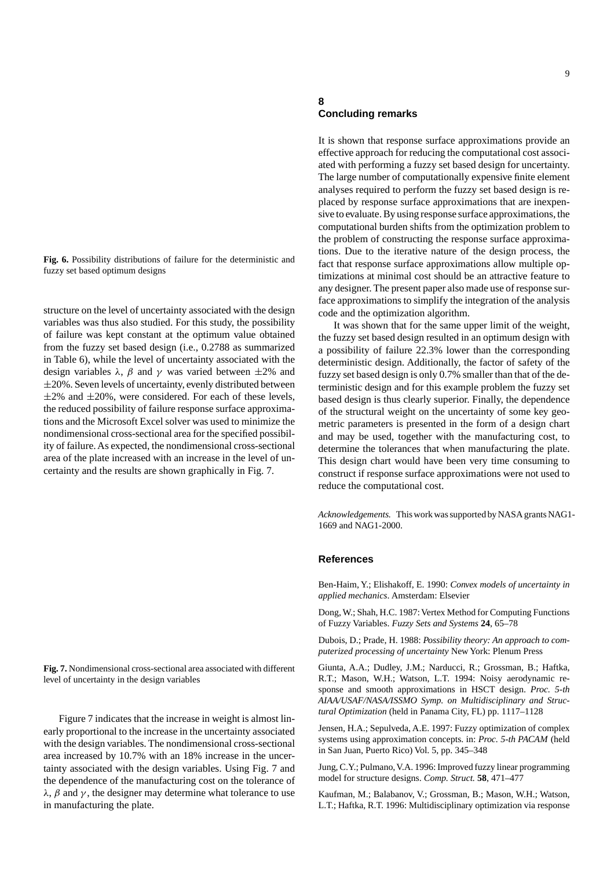**Fig. 6.** Possibility distributions of failure for the deterministic and fuzzy set based optimum designs

structure on the level of uncertainty associated with the design variables was thus also studied. For this study, the possibility of failure was kept constant at the optimum value obtained from the fuzzy set based design (i.e., 0.2788 as summarized in Table 6), while the level of uncertainty associated with the design variables  $\lambda$ ,  $\beta$  and  $\gamma$  was varied between  $\pm 2\%$  and  $\pm$ 20%. Seven levels of uncertainty, evenly distributed between  $\pm 2\%$  and  $\pm 20\%$ , were considered. For each of these levels, the reduced possibility of failure response surface approximations and the Microsoft Excel solver was used to minimize the nondimensional cross-sectional area for the specified possibility of failure. As expected, the nondimensional cross-sectional area of the plate increased with an increase in the level of uncertainty and the results are shown graphically in Fig. 7.

**Fig. 7.** Nondimensional cross-sectional area associated with different level of uncertainty in the design variables

Figure 7 indicates that the increase in weight is almost linearly proportional to the increase in the uncertainty associated with the design variables. The nondimensional cross-sectional area increased by 10.7% with an 18% increase in the uncertainty associated with the design variables. Using Fig. 7 and the dependence of the manufacturing cost on the tolerance of  $\lambda$ ,  $\beta$  and  $\gamma$ , the designer may determine what tolerance to use in manufacturing the plate.

#### **8 Concluding remarks**

It is shown that response surface approximations provide an effective approach for reducing the computational cost associated with performing a fuzzy set based design for uncertainty. The large number of computationally expensive finite element analyses required to perform the fuzzy set based design is replaced by response surface approximations that are inexpensive to evaluate. By using response surface approximations, the computational burden shifts from the optimization problem to the problem of constructing the response surface approximations. Due to the iterative nature of the design process, the fact that response surface approximations allow multiple optimizations at minimal cost should be an attractive feature to any designer. The present paper also made use of response surface approximations to simplify the integration of the analysis code and the optimization algorithm.

It was shown that for the same upper limit of the weight, the fuzzy set based design resulted in an optimum design with a possibility of failure 22.3% lower than the corresponding deterministic design. Additionally, the factor of safety of the fuzzy set based design is only 0.7% smaller than that of the deterministic design and for this example problem the fuzzy set based design is thus clearly superior. Finally, the dependence of the structural weight on the uncertainty of some key geometric parameters is presented in the form of a design chart and may be used, together with the manufacturing cost, to determine the tolerances that when manufacturing the plate. This design chart would have been very time consuming to construct if response surface approximations were not used to reduce the computational cost.

*Acknowledgements.* This work was supported by NASA grants NAG1- 1669 and NAG1-2000.

#### **References**

Ben-Haim, Y.; Elishakoff, E. 1990: *Convex models of uncertainty in applied mechanics*. Amsterdam: Elsevier

Dong, W.; Shah, H.C. 1987: Vertex Method for Computing Functions of Fuzzy Variables. *Fuzzy Sets and Systems* **24**, 65–78

Dubois, D.; Prade, H. 1988: *Possibility theory: An approach to computerized processing of uncertainty* New York: Plenum Press

Giunta, A.A.; Dudley, J.M.; Narducci, R.; Grossman, B.; Haftka, R.T.; Mason, W.H.; Watson, L.T. 1994: Noisy aerodynamic response and smooth approximations in HSCT design. *Proc. 5-th AIAA/USAF/NASA/ISSMO Symp. on Multidisciplinary and Structural Optimization* (held in Panama City, FL) pp. 1117–1128

Jensen, H.A.; Sepulveda, A.E. 1997: Fuzzy optimization of complex systems using approximation concepts. in: *Proc. 5-th PACAM* (held in San Juan, Puerto Rico) Vol. 5, pp. 345–348

Jung, C.Y.; Pulmano, V.A. 1996: Improved fuzzy linear programming model for structure designs. *Comp. Struct.* **58**, 471–477

Kaufman, M.; Balabanov, V.; Grossman, B.; Mason, W.H.; Watson, L.T.; Haftka, R.T. 1996: Multidisciplinary optimization via response